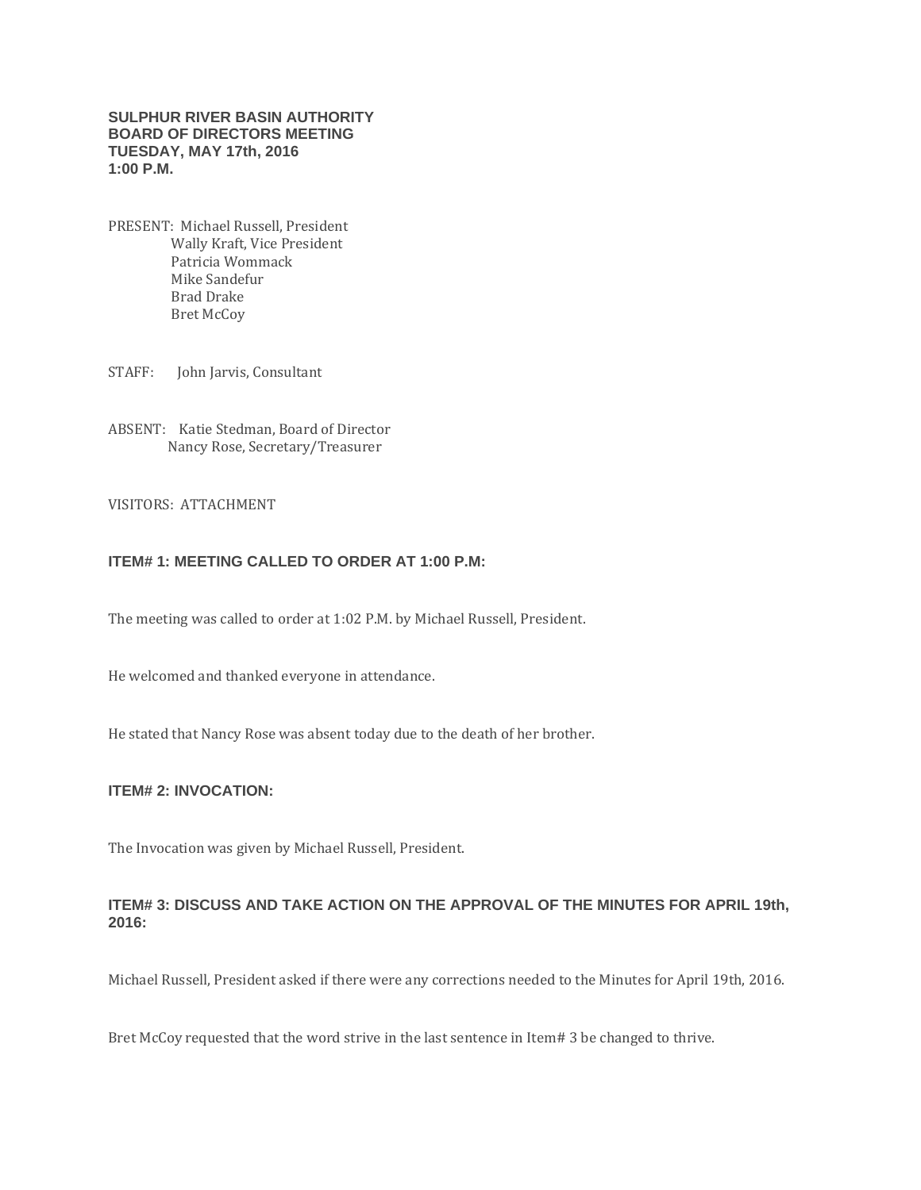### **SULPHUR RIVER BASIN AUTHORITY BOARD OF DIRECTORS MEETING TUESDAY, MAY 17th, 2016 1:00 P.M.**

PRESENT: Michael Russell, President Wally Kraft, Vice President Patricia Wommack Mike Sandefur Brad Drake Bret McCoy

STAFF: John Jarvis, Consultant

ABSENT: Katie Stedman, Board of Director Nancy Rose, Secretary/Treasurer

#### VISITORS: ATTACHMENT

## **ITEM# 1: MEETING CALLED TO ORDER AT 1:00 P.M:**

The meeting was called to order at 1:02 P.M. by Michael Russell, President.

He welcomed and thanked everyone in attendance.

He stated that Nancy Rose was absent today due to the death of her brother.

#### **ITEM# 2: INVOCATION:**

The Invocation was given by Michael Russell, President.

### **ITEM# 3: DISCUSS AND TAKE ACTION ON THE APPROVAL OF THE MINUTES FOR APRIL 19th, 2016:**

Michael Russell, President asked if there were any corrections needed to the Minutes for April 19th, 2016.

Bret McCoy requested that the word strive in the last sentence in Item# 3 be changed to thrive.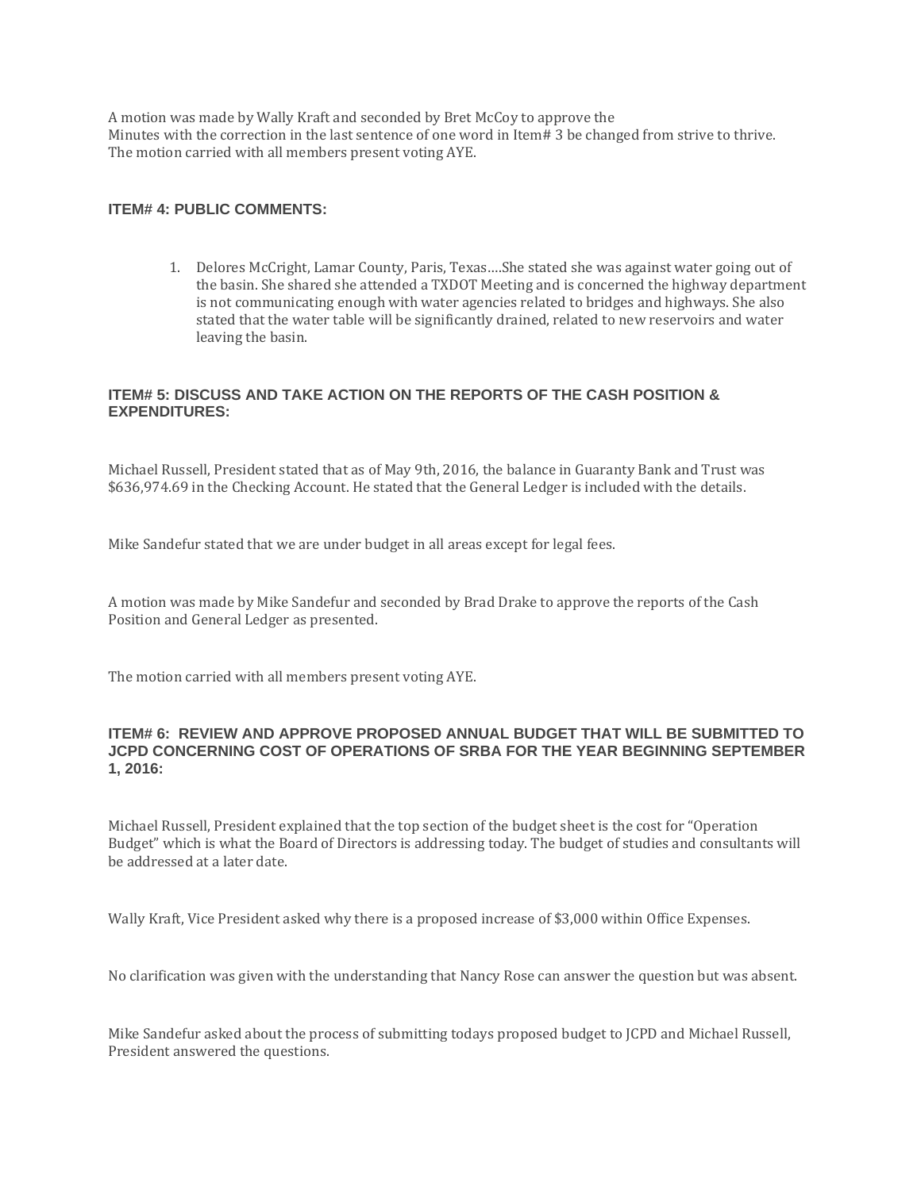A motion was made by Wally Kraft and seconded by Bret McCoy to approve the Minutes with the correction in the last sentence of one word in Item# 3 be changed from strive to thrive. The motion carried with all members present voting AYE.

## **ITEM# 4: PUBLIC COMMENTS:**

1. Delores McCright, Lamar County, Paris, Texas….She stated she was against water going out of the basin. She shared she attended a TXDOT Meeting and is concerned the highway department is not communicating enough with water agencies related to bridges and highways. She also stated that the water table will be significantly drained, related to new reservoirs and water leaving the basin.

## **ITEM# 5: DISCUSS AND TAKE ACTION ON THE REPORTS OF THE CASH POSITION & EXPENDITURES:**

Michael Russell, President stated that as of May 9th, 2016, the balance in Guaranty Bank and Trust was \$636,974.69 in the Checking Account. He stated that the General Ledger is included with the details.

Mike Sandefur stated that we are under budget in all areas except for legal fees.

A motion was made by Mike Sandefur and seconded by Brad Drake to approve the reports of the Cash Position and General Ledger as presented.

The motion carried with all members present voting AYE.

## **ITEM# 6: REVIEW AND APPROVE PROPOSED ANNUAL BUDGET THAT WILL BE SUBMITTED TO JCPD CONCERNING COST OF OPERATIONS OF SRBA FOR THE YEAR BEGINNING SEPTEMBER 1, 2016:**

Michael Russell, President explained that the top section of the budget sheet is the cost for "Operation Budget" which is what the Board of Directors is addressing today. The budget of studies and consultants will be addressed at a later date.

Wally Kraft, Vice President asked why there is a proposed increase of \$3,000 within Office Expenses.

No clarification was given with the understanding that Nancy Rose can answer the question but was absent.

Mike Sandefur asked about the process of submitting todays proposed budget to JCPD and Michael Russell, President answered the questions.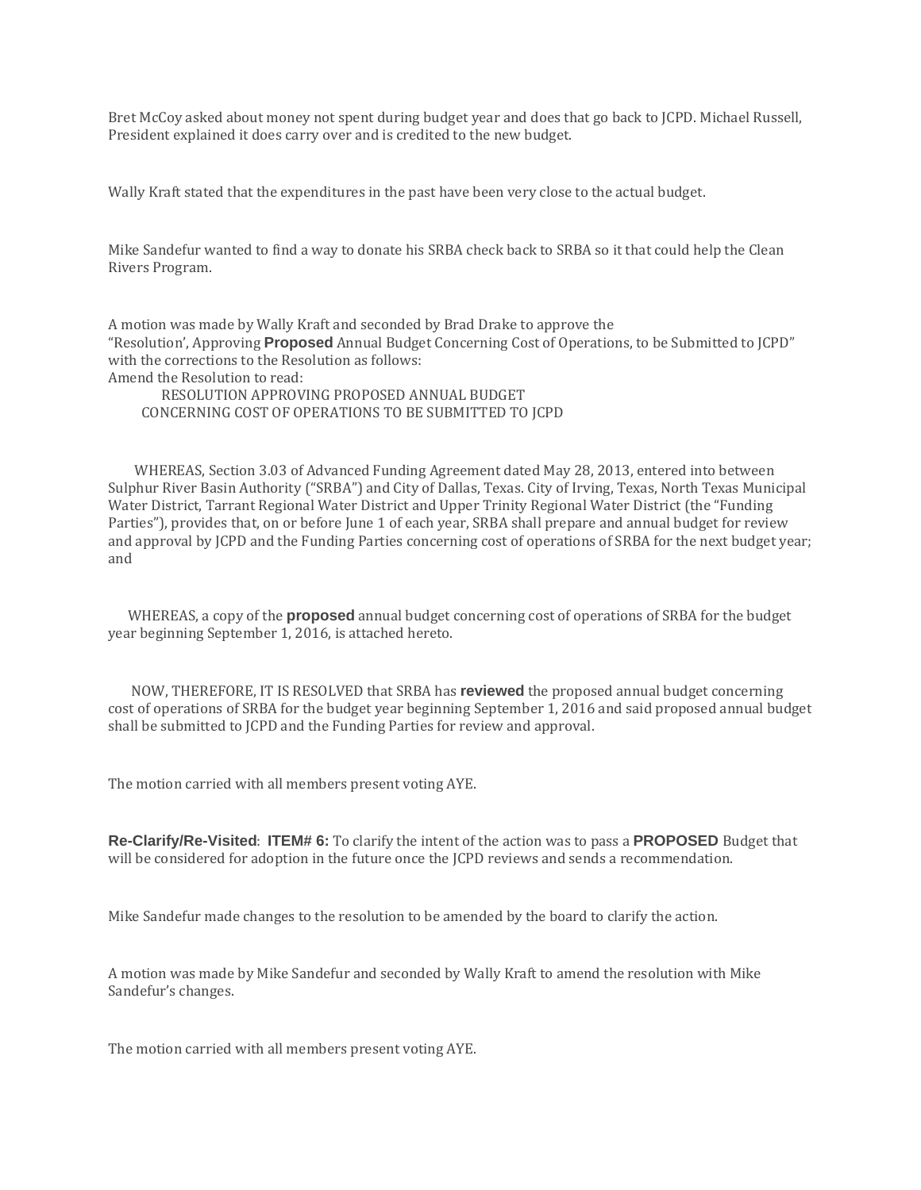Bret McCoy asked about money not spent during budget year and does that go back to JCPD. Michael Russell, President explained it does carry over and is credited to the new budget.

Wally Kraft stated that the expenditures in the past have been very close to the actual budget.

Mike Sandefur wanted to find a way to donate his SRBA check back to SRBA so it that could help the Clean Rivers Program.

A motion was made by Wally Kraft and seconded by Brad Drake to approve the "Resolution', Approving **Proposed** Annual Budget Concerning Cost of Operations, to be Submitted to JCPD" with the corrections to the Resolution as follows: Amend the Resolution to read:

 RESOLUTION APPROVING PROPOSED ANNUAL BUDGET CONCERNING COST OF OPERATIONS TO BE SUBMITTED TO JCPD

 WHEREAS, Section 3.03 of Advanced Funding Agreement dated May 28, 2013, entered into between Sulphur River Basin Authority ("SRBA") and City of Dallas, Texas. City of Irving, Texas, North Texas Municipal Water District, Tarrant Regional Water District and Upper Trinity Regional Water District (the "Funding Parties"), provides that, on or before June 1 of each year, SRBA shall prepare and annual budget for review and approval by JCPD and the Funding Parties concerning cost of operations of SRBA for the next budget year; and

 WHEREAS, a copy of the **proposed** annual budget concerning cost of operations of SRBA for the budget year beginning September 1, 2016, is attached hereto.

 NOW, THEREFORE, IT IS RESOLVED that SRBA has **reviewed** the proposed annual budget concerning cost of operations of SRBA for the budget year beginning September 1, 2016 and said proposed annual budget shall be submitted to JCPD and the Funding Parties for review and approval.

The motion carried with all members present voting AYE.

**Re-Clarify/Re-Visited**: **ITEM# 6:** To clarify the intent of the action was to pass a **PROPOSED** Budget that will be considered for adoption in the future once the JCPD reviews and sends a recommendation.

Mike Sandefur made changes to the resolution to be amended by the board to clarify the action.

A motion was made by Mike Sandefur and seconded by Wally Kraft to amend the resolution with Mike Sandefur's changes.

The motion carried with all members present voting AYE.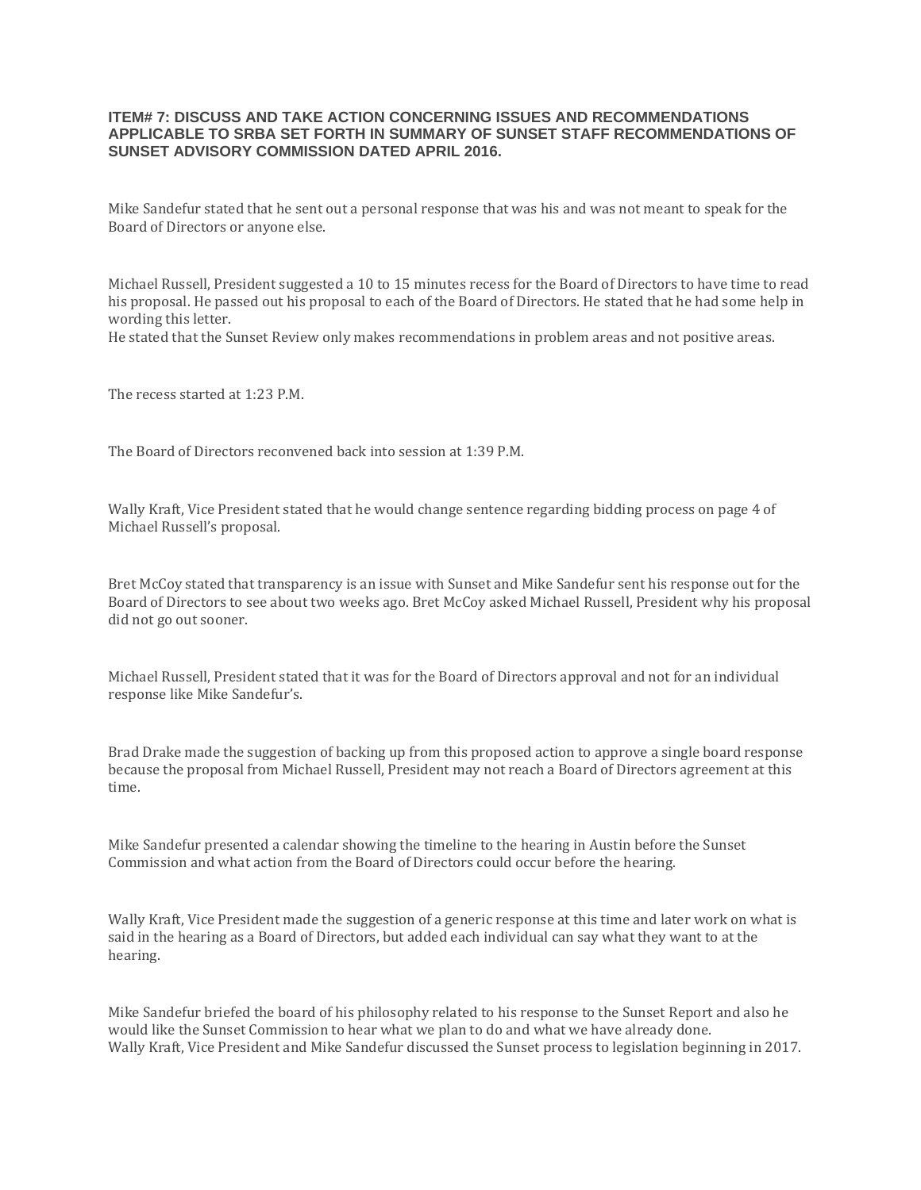#### **ITEM# 7: DISCUSS AND TAKE ACTION CONCERNING ISSUES AND RECOMMENDATIONS APPLICABLE TO SRBA SET FORTH IN SUMMARY OF SUNSET STAFF RECOMMENDATIONS OF SUNSET ADVISORY COMMISSION DATED APRIL 2016.**

Mike Sandefur stated that he sent out a personal response that was his and was not meant to speak for the Board of Directors or anyone else.

Michael Russell, President suggested a 10 to 15 minutes recess for the Board of Directors to have time to read his proposal. He passed out his proposal to each of the Board of Directors. He stated that he had some help in wording this letter.

He stated that the Sunset Review only makes recommendations in problem areas and not positive areas.

The recess started at 1:23 P.M.

The Board of Directors reconvened back into session at 1:39 P.M.

Wally Kraft, Vice President stated that he would change sentence regarding bidding process on page 4 of Michael Russell's proposal.

Bret McCoy stated that transparency is an issue with Sunset and Mike Sandefur sent his response out for the Board of Directors to see about two weeks ago. Bret McCoy asked Michael Russell, President why his proposal did not go out sooner.

Michael Russell, President stated that it was for the Board of Directors approval and not for an individual response like Mike Sandefur's.

Brad Drake made the suggestion of backing up from this proposed action to approve a single board response because the proposal from Michael Russell, President may not reach a Board of Directors agreement at this time.

Mike Sandefur presented a calendar showing the timeline to the hearing in Austin before the Sunset Commission and what action from the Board of Directors could occur before the hearing.

Wally Kraft, Vice President made the suggestion of a generic response at this time and later work on what is said in the hearing as a Board of Directors, but added each individual can say what they want to at the hearing.

Mike Sandefur briefed the board of his philosophy related to his response to the Sunset Report and also he would like the Sunset Commission to hear what we plan to do and what we have already done. Wally Kraft, Vice President and Mike Sandefur discussed the Sunset process to legislation beginning in 2017.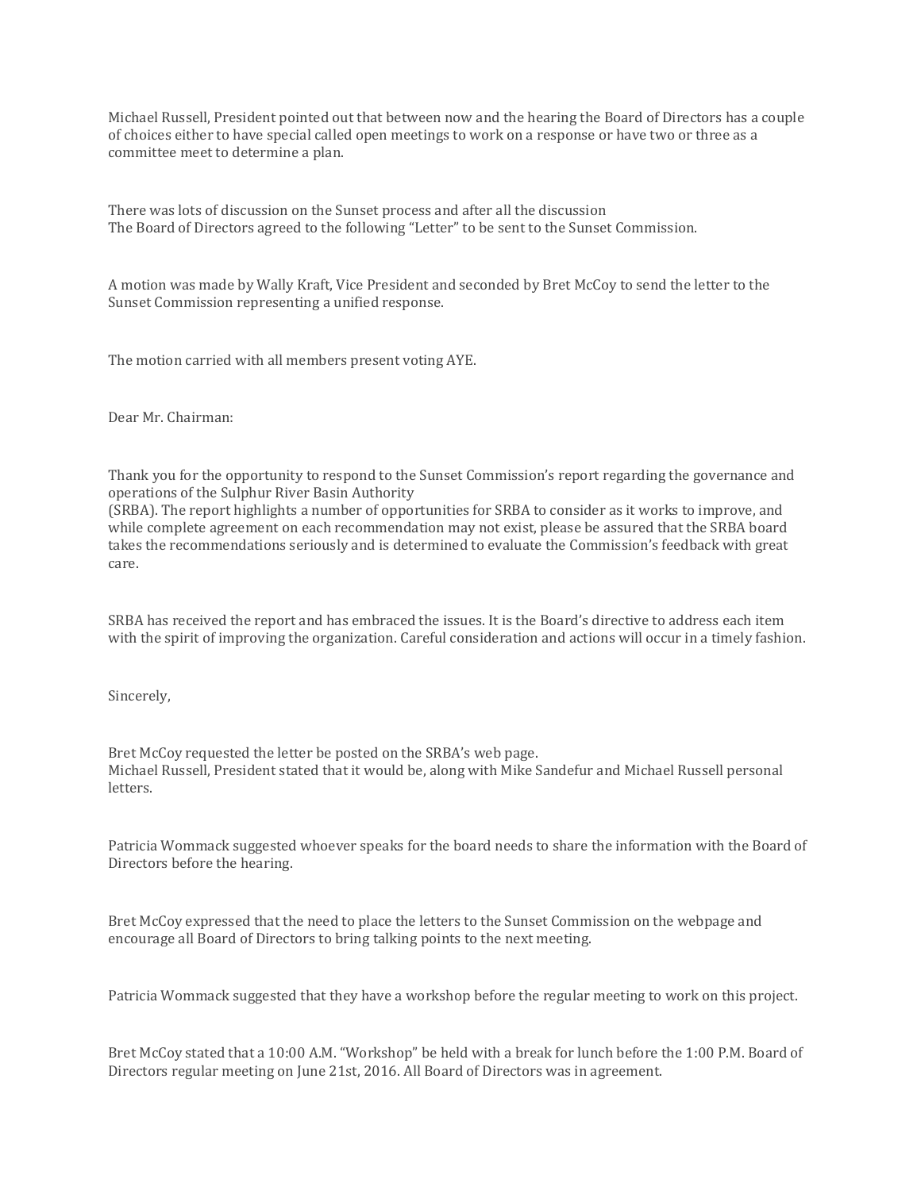Michael Russell, President pointed out that between now and the hearing the Board of Directors has a couple of choices either to have special called open meetings to work on a response or have two or three as a committee meet to determine a plan.

There was lots of discussion on the Sunset process and after all the discussion The Board of Directors agreed to the following "Letter" to be sent to the Sunset Commission.

A motion was made by Wally Kraft, Vice President and seconded by Bret McCoy to send the letter to the Sunset Commission representing a unified response.

The motion carried with all members present voting AYE.

Dear Mr. Chairman:

Thank you for the opportunity to respond to the Sunset Commission's report regarding the governance and operations of the Sulphur River Basin Authority

(SRBA). The report highlights a number of opportunities for SRBA to consider as it works to improve, and while complete agreement on each recommendation may not exist, please be assured that the SRBA board takes the recommendations seriously and is determined to evaluate the Commission's feedback with great care.

SRBA has received the report and has embraced the issues. It is the Board's directive to address each item with the spirit of improving the organization. Careful consideration and actions will occur in a timely fashion.

Sincerely,

Bret McCoy requested the letter be posted on the SRBA's web page. Michael Russell, President stated that it would be, along with Mike Sandefur and Michael Russell personal letters.

Patricia Wommack suggested whoever speaks for the board needs to share the information with the Board of Directors before the hearing.

Bret McCoy expressed that the need to place the letters to the Sunset Commission on the webpage and encourage all Board of Directors to bring talking points to the next meeting.

Patricia Wommack suggested that they have a workshop before the regular meeting to work on this project.

Bret McCoy stated that a 10:00 A.M. "Workshop" be held with a break for lunch before the 1:00 P.M. Board of Directors regular meeting on June 21st, 2016. All Board of Directors was in agreement.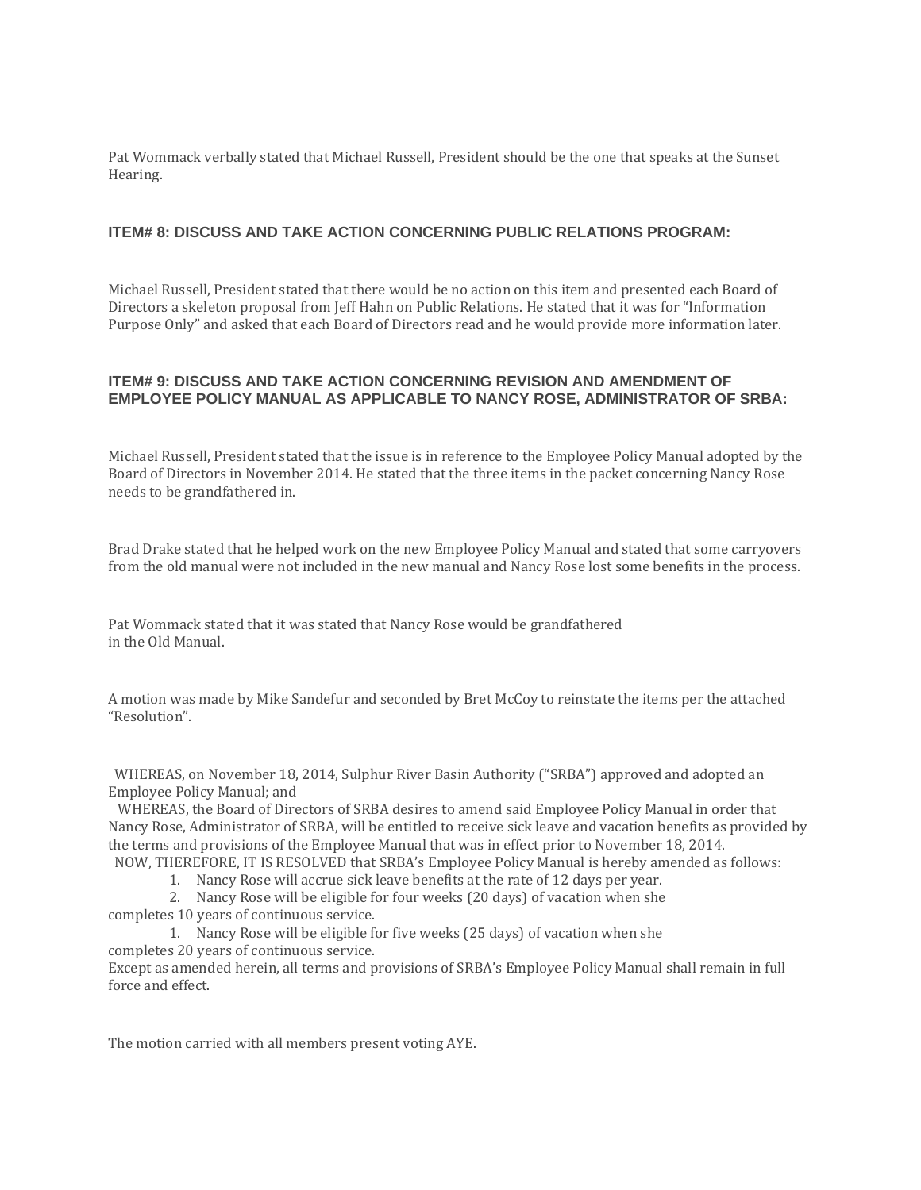Pat Wommack verbally stated that Michael Russell, President should be the one that speaks at the Sunset Hearing.

# **ITEM# 8: DISCUSS AND TAKE ACTION CONCERNING PUBLIC RELATIONS PROGRAM:**

Michael Russell, President stated that there would be no action on this item and presented each Board of Directors a skeleton proposal from Jeff Hahn on Public Relations. He stated that it was for "Information Purpose Only" and asked that each Board of Directors read and he would provide more information later.

# **ITEM# 9: DISCUSS AND TAKE ACTION CONCERNING REVISION AND AMENDMENT OF EMPLOYEE POLICY MANUAL AS APPLICABLE TO NANCY ROSE, ADMINISTRATOR OF SRBA:**

Michael Russell, President stated that the issue is in reference to the Employee Policy Manual adopted by the Board of Directors in November 2014. He stated that the three items in the packet concerning Nancy Rose needs to be grandfathered in.

Brad Drake stated that he helped work on the new Employee Policy Manual and stated that some carryovers from the old manual were not included in the new manual and Nancy Rose lost some benefits in the process.

Pat Wommack stated that it was stated that Nancy Rose would be grandfathered in the Old Manual.

A motion was made by Mike Sandefur and seconded by Bret McCoy to reinstate the items per the attached "Resolution".

 WHEREAS, on November 18, 2014, Sulphur River Basin Authority ("SRBA") approved and adopted an Employee Policy Manual; and

 WHEREAS, the Board of Directors of SRBA desires to amend said Employee Policy Manual in order that Nancy Rose, Administrator of SRBA, will be entitled to receive sick leave and vacation benefits as provided by the terms and provisions of the Employee Manual that was in effect prior to November 18, 2014.

- NOW, THEREFORE, IT IS RESOLVED that SRBA's Employee Policy Manual is hereby amended as follows:
	- 1. Nancy Rose will accrue sick leave benefits at the rate of 12 days per year.

2. Nancy Rose will be eligible for four weeks (20 days) of vacation when she completes 10 years of continuous service.

1. Nancy Rose will be eligible for five weeks (25 days) of vacation when she completes 20 years of continuous service.

Except as amended herein, all terms and provisions of SRBA's Employee Policy Manual shall remain in full force and effect.

The motion carried with all members present voting AYE.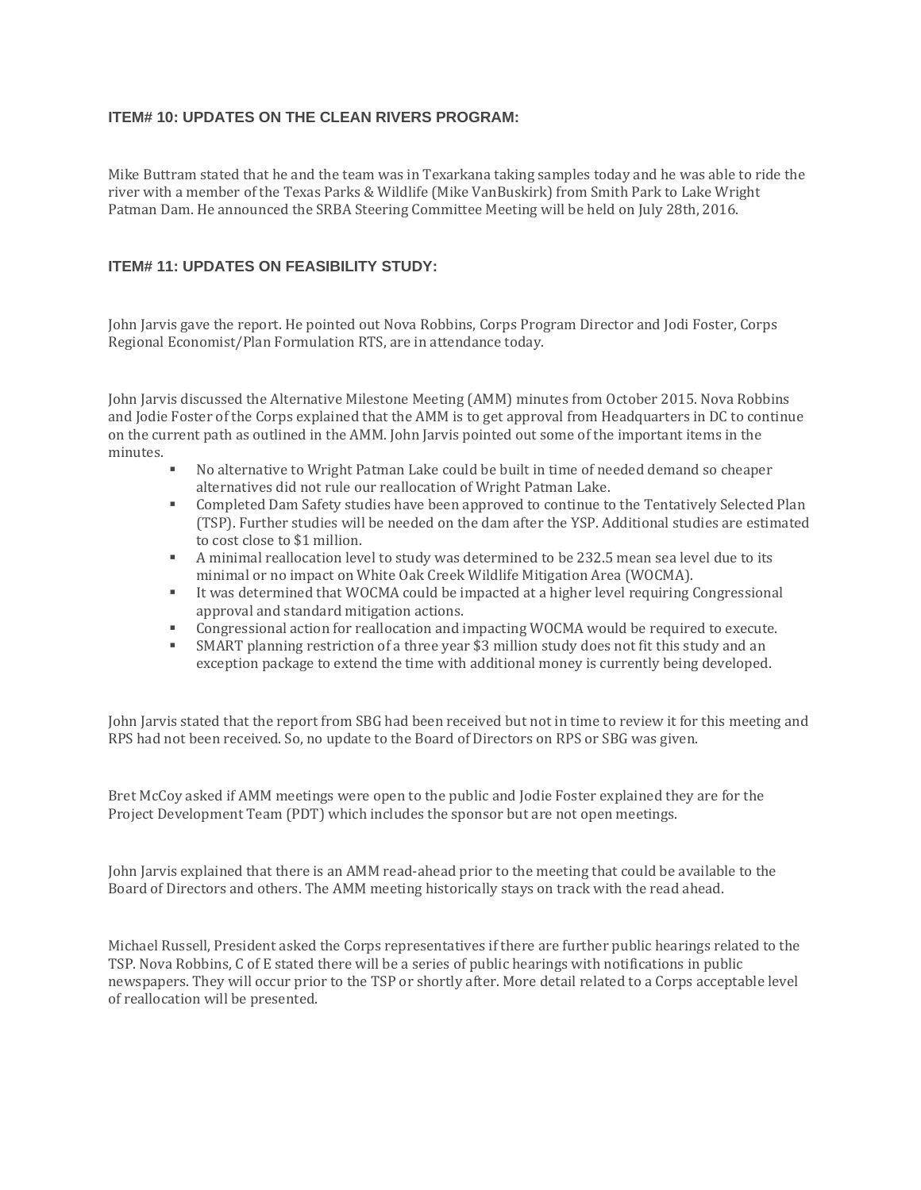## **ITEM# 10: UPDATES ON THE CLEAN RIVERS PROGRAM:**

Mike Buttram stated that he and the team was in Texarkana taking samples today and he was able to ride the river with a member of the Texas Parks & Wildlife (Mike VanBuskirk) from Smith Park to Lake Wright Patman Dam. He announced the SRBA Steering Committee Meeting will be held on July 28th, 2016.

## **ITEM# 11: UPDATES ON FEASIBILITY STUDY:**

John Jarvis gave the report. He pointed out Nova Robbins, Corps Program Director and Jodi Foster, Corps Regional Economist/Plan Formulation RTS, are in attendance today.

John Jarvis discussed the Alternative Milestone Meeting (AMM) minutes from October 2015. Nova Robbins and Jodie Foster of the Corps explained that the AMM is to get approval from Headquarters in DC to continue on the current path as outlined in the AMM. John Jarvis pointed out some of the important items in the minutes.

- No alternative to Wright Patman Lake could be built in time of needed demand so cheaper alternatives did not rule our reallocation of Wright Patman Lake.
- Completed Dam Safety studies have been approved to continue to the Tentatively Selected Plan (TSP). Further studies will be needed on the dam after the YSP. Additional studies are estimated to cost close to \$1 million.
- A minimal reallocation level to study was determined to be 232.5 mean sea level due to its minimal or no impact on White Oak Creek Wildlife Mitigation Area (WOCMA).
- It was determined that WOCMA could be impacted at a higher level requiring Congressional approval and standard mitigation actions.
- Congressional action for reallocation and impacting WOCMA would be required to execute.
- SMART planning restriction of a three year \$3 million study does not fit this study and an exception package to extend the time with additional money is currently being developed.

John Jarvis stated that the report from SBG had been received but not in time to review it for this meeting and RPS had not been received. So, no update to the Board of Directors on RPS or SBG was given.

Bret McCoy asked if AMM meetings were open to the public and Jodie Foster explained they are for the Project Development Team (PDT) which includes the sponsor but are not open meetings.

John Jarvis explained that there is an AMM read-ahead prior to the meeting that could be available to the Board of Directors and others. The AMM meeting historically stays on track with the read ahead.

Michael Russell, President asked the Corps representatives if there are further public hearings related to the TSP. Nova Robbins, C of E stated there will be a series of public hearings with notifications in public newspapers. They will occur prior to the TSP or shortly after. More detail related to a Corps acceptable level of reallocation will be presented.